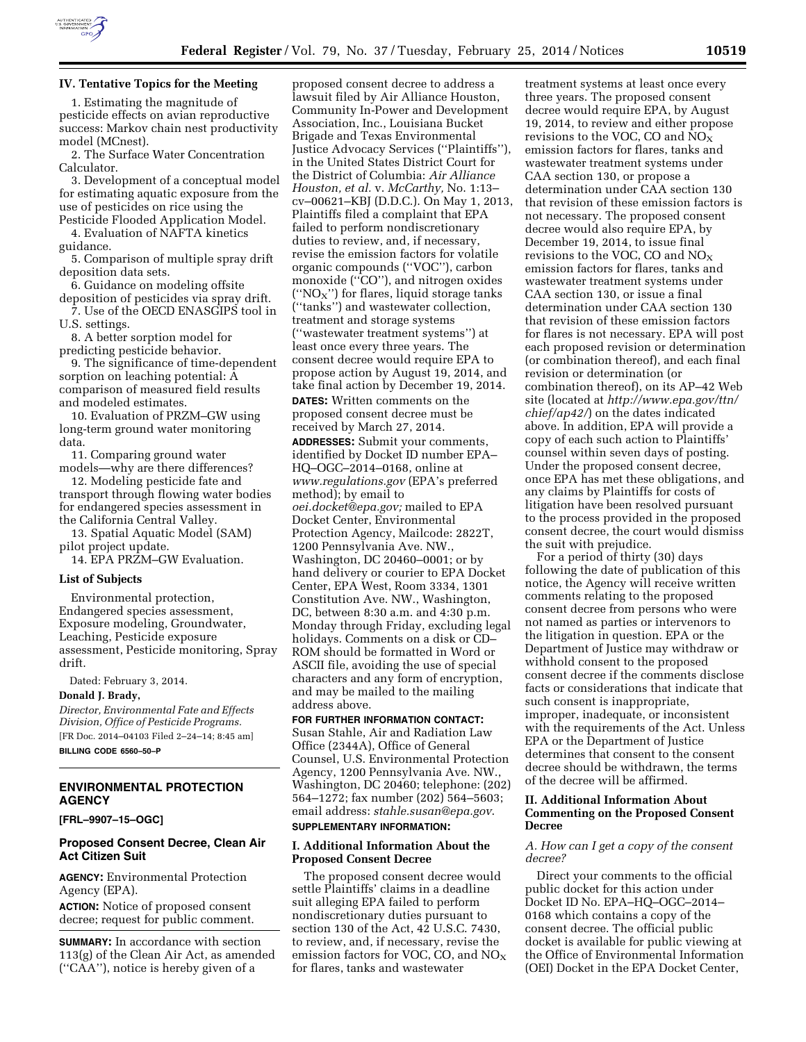

# **IV. Tentative Topics for the Meeting**

1. Estimating the magnitude of pesticide effects on avian reproductive success: Markov chain nest productivity model (MCnest).

2. The Surface Water Concentration Calculator.

3. Development of a conceptual model for estimating aquatic exposure from the use of pesticides on rice using the Pesticide Flooded Application Model.

4. Evaluation of NAFTA kinetics guidance.

5. Comparison of multiple spray drift deposition data sets.

6. Guidance on modeling offsite deposition of pesticides via spray drift.

7. Use of the OECD ENASGIPS tool in U.S. settings.

8. A better sorption model for predicting pesticide behavior.

9. The significance of time-dependent sorption on leaching potential: A comparison of measured field results and modeled estimates.

10. Evaluation of PRZM–GW using long-term ground water monitoring data.

11. Comparing ground water models—why are there differences?

12. Modeling pesticide fate and transport through flowing water bodies for endangered species assessment in the California Central Valley.

13. Spatial Aquatic Model (SAM) pilot project update.

14. EPA PRZM–GW Evaluation.

#### **List of Subjects**

Environmental protection, Endangered species assessment, Exposure modeling, Groundwater, Leaching, Pesticide exposure assessment, Pesticide monitoring, Spray drift.

Dated: February 3, 2014.

# **Donald J. Brady,**

*Director, Environmental Fate and Effects Division, Office of Pesticide Programs.*  [FR Doc. 2014–04103 Filed 2–24–14; 8:45 am] **BILLING CODE 6560–50–P** 

# **ENVIRONMENTAL PROTECTION AGENCY**

**[FRL–9907–15–OGC]** 

# **Proposed Consent Decree, Clean Air Act Citizen Suit**

**AGENCY:** Environmental Protection Agency (EPA).

**ACTION:** Notice of proposed consent decree; request for public comment.

**SUMMARY:** In accordance with section 113(g) of the Clean Air Act, as amended (''CAA''), notice is hereby given of a

proposed consent decree to address a lawsuit filed by Air Alliance Houston, Community In-Power and Development Association, Inc., Louisiana Bucket Brigade and Texas Environmental Justice Advocacy Services (''Plaintiffs''), in the United States District Court for the District of Columbia: *Air Alliance Houston, et al.* v. *McCarthy,* No. 1:13– cv–00621–KBJ (D.D.C.). On May 1, 2013, Plaintiffs filed a complaint that EPA failed to perform nondiscretionary duties to review, and, if necessary, revise the emission factors for volatile organic compounds (''VOC''), carbon monoxide ("CO"), and nitrogen oxides (" $NO<sub>X</sub>$ ") for flares, liquid storage tanks (''tanks'') and wastewater collection, treatment and storage systems (''wastewater treatment systems'') at least once every three years. The consent decree would require EPA to propose action by August 19, 2014, and take final action by December 19, 2014.

**DATES:** Written comments on the proposed consent decree must be received by March 27, 2014. **ADDRESSES:** Submit your comments, identified by Docket ID number EPA– HQ–OGC–2014–0168, online at *[www.regulations.gov](http://www.regulations.gov)* (EPA's preferred method); by email to *[oei.docket@epa.gov;](mailto:oei.docket@epa.gov)* mailed to EPA Docket Center, Environmental Protection Agency, Mailcode: 2822T, 1200 Pennsylvania Ave. NW., Washington, DC 20460–0001; or by hand delivery or courier to EPA Docket Center, EPA West, Room 3334, 1301 Constitution Ave. NW., Washington, DC, between 8:30 a.m. and 4:30 p.m. Monday through Friday, excluding legal holidays. Comments on a disk or CD– ROM should be formatted in Word or ASCII file, avoiding the use of special characters and any form of encryption, and may be mailed to the mailing address above.

### **FOR FURTHER INFORMATION CONTACT:**

Susan Stahle, Air and Radiation Law Office (2344A), Office of General Counsel, U.S. Environmental Protection Agency, 1200 Pennsylvania Ave. NW., Washington, DC 20460; telephone: (202) 564–1272; fax number (202) 564–5603; email address: *[stahle.susan@epa.gov](mailto:stahle.susan@epa.gov)*. **SUPPLEMENTARY INFORMATION:** 

#### **I. Additional Information About the Proposed Consent Decree**

The proposed consent decree would settle Plaintiffs' claims in a deadline suit alleging EPA failed to perform nondiscretionary duties pursuant to section 130 of the Act, 42 U.S.C. 7430, to review, and, if necessary, revise the emission factors for VOC, CO, and  $NO<sub>x</sub>$ for flares, tanks and wastewater

treatment systems at least once every three years. The proposed consent decree would require EPA, by August 19, 2014, to review and either propose revisions to the VOC, CO and  $\overline{NO_X}$ emission factors for flares, tanks and wastewater treatment systems under CAA section 130, or propose a determination under CAA section 130 that revision of these emission factors is not necessary. The proposed consent decree would also require EPA, by December 19, 2014, to issue final revisions to the VOC, CO and  $NO<sub>x</sub>$ emission factors for flares, tanks and wastewater treatment systems under CAA section 130, or issue a final determination under CAA section 130 that revision of these emission factors for flares is not necessary. EPA will post each proposed revision or determination (or combination thereof), and each final revision or determination (or combination thereof), on its AP–42 Web site (located at *[http://www.epa.gov/ttn/](http://www.epa.gov/ttn/chief/ap42/) [chief/ap42/](http://www.epa.gov/ttn/chief/ap42/)*) on the dates indicated above. In addition, EPA will provide a copy of each such action to Plaintiffs' counsel within seven days of posting. Under the proposed consent decree, once EPA has met these obligations, and any claims by Plaintiffs for costs of litigation have been resolved pursuant to the process provided in the proposed consent decree, the court would dismiss the suit with prejudice.

For a period of thirty (30) days following the date of publication of this notice, the Agency will receive written comments relating to the proposed consent decree from persons who were not named as parties or intervenors to the litigation in question. EPA or the Department of Justice may withdraw or withhold consent to the proposed consent decree if the comments disclose facts or considerations that indicate that such consent is inappropriate, improper, inadequate, or inconsistent with the requirements of the Act. Unless EPA or the Department of Justice determines that consent to the consent decree should be withdrawn, the terms of the decree will be affirmed.

# **II. Additional Information About Commenting on the Proposed Consent Decree**

### *A. How can I get a copy of the consent decree?*

Direct your comments to the official public docket for this action under Docket ID No. EPA–HQ–OGC–2014– 0168 which contains a copy of the consent decree. The official public docket is available for public viewing at the Office of Environmental Information (OEI) Docket in the EPA Docket Center,